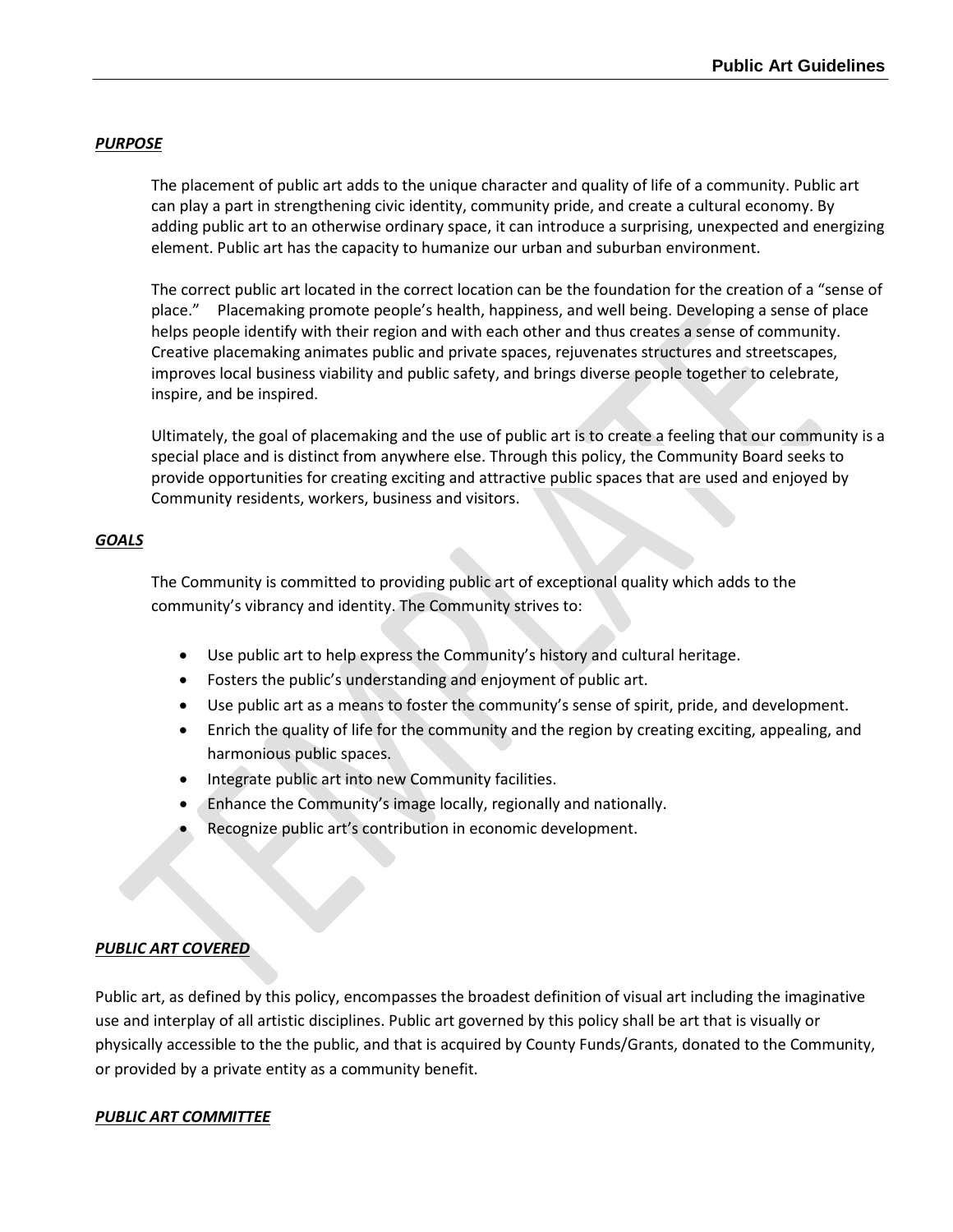## *PURPOSE*

The placement of public art adds to the unique character and quality of life of a community. Public art can play a part in strengthening civic identity, community pride, and create a cultural economy. By adding public art to an otherwise ordinary space, it can introduce a surprising, unexpected and energizing element. Public art has the capacity to humanize our urban and suburban environment.

The correct public art located in the correct location can be the foundation for the creation of a "sense of place." Placemaking promote people's health, happiness, and well being. Developing a sense of place helps people identify with their region and with each other and thus creates a sense of community. Creative placemaking animates public and private spaces, rejuvenates structures and streetscapes, improves local business viability and public safety, and brings diverse people together to celebrate, inspire, and be inspired.

Ultimately, the goal of placemaking and the use of public art is to create a feeling that our community is a special place and is distinct from anywhere else. Through this policy, the Community Board seeks to provide opportunities for creating exciting and attractive public spaces that are used and enjoyed by Community residents, workers, business and visitors.

### *GOALS*

The Community is committed to providing public art of exceptional quality which adds to the community's vibrancy and identity. The Community strives to:

- Use public art to help express the Community's history and cultural heritage.
- Fosters the public's understanding and enjoyment of public art.
- Use public art as a means to foster the community's sense of spirit, pride, and development.
- Enrich the quality of life for the community and the region by creating exciting, appealing, and harmonious public spaces.
- Integrate public art into new Community facilities.
- Enhance the Community's image locally, regionally and nationally.
- Recognize public art's contribution in economic development.

### *PUBLIC ART COVERED*

Public art, as defined by this policy, encompasses the broadest definition of visual art including the imaginative use and interplay of all artistic disciplines. Public art governed by this policy shall be art that is visually or physically accessible to the the public, and that is acquired by County Funds/Grants, donated to the Community, or provided by a private entity as a community benefit.

### *PUBLIC ART COMMITTEE*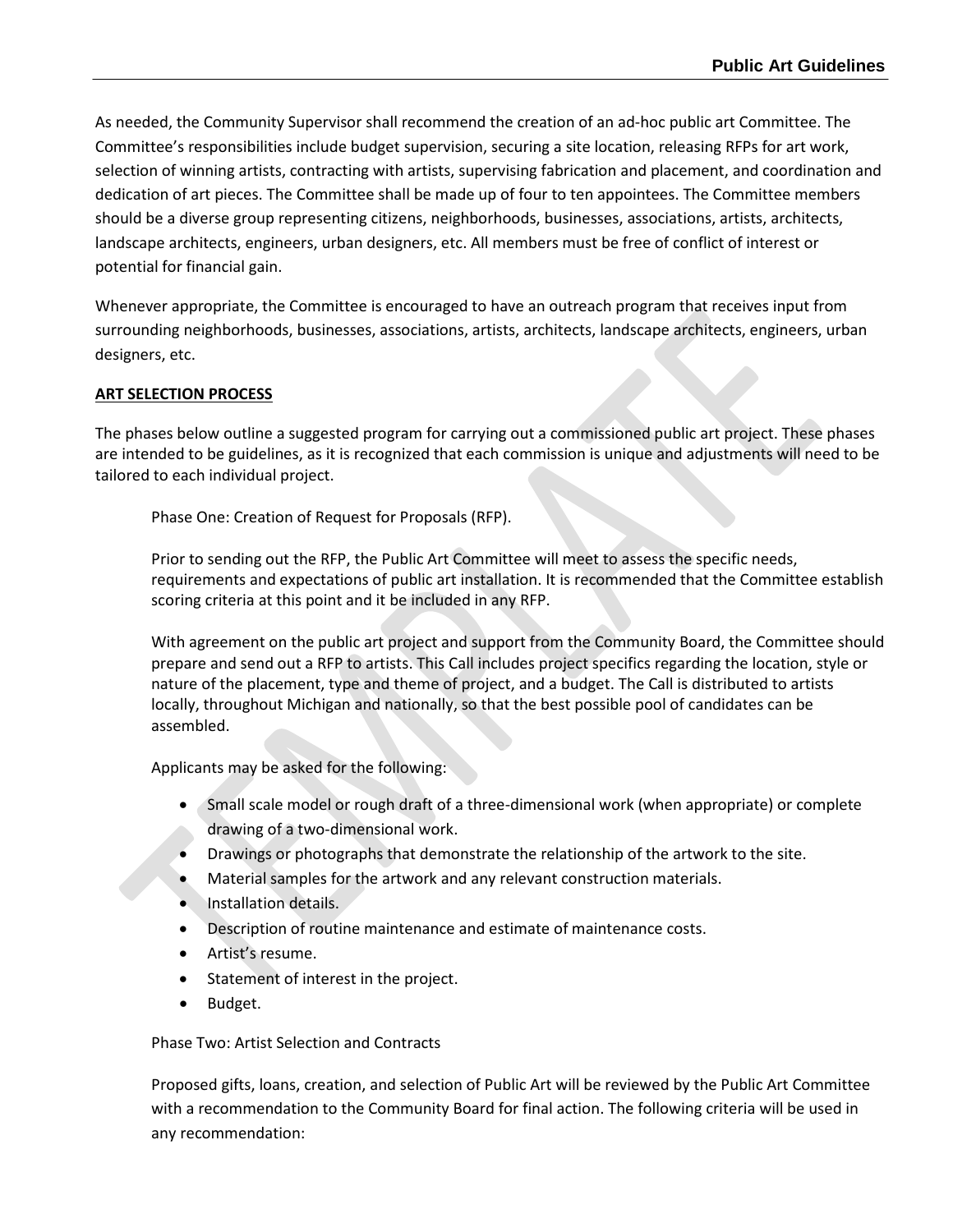As needed, the Community Supervisor shall recommend the creation of an ad-hoc public art Committee. The Committee's responsibilities include budget supervision, securing a site location, releasing RFPs for art work, selection of winning artists, contracting with artists, supervising fabrication and placement, and coordination and dedication of art pieces. The Committee shall be made up of four to ten appointees. The Committee members should be a diverse group representing citizens, neighborhoods, businesses, associations, artists, architects, landscape architects, engineers, urban designers, etc. All members must be free of conflict of interest or potential for financial gain.

Whenever appropriate, the Committee is encouraged to have an outreach program that receives input from surrounding neighborhoods, businesses, associations, artists, architects, landscape architects, engineers, urban designers, etc.

# **ART SELECTION PROCESS**

The phases below outline a suggested program for carrying out a commissioned public art project. These phases are intended to be guidelines, as it is recognized that each commission is unique and adjustments will need to be tailored to each individual project.

Phase One: Creation of Request for Proposals (RFP).

Prior to sending out the RFP, the Public Art Committee will meet to assess the specific needs, requirements and expectations of public art installation. It is recommended that the Committee establish scoring criteria at this point and it be included in any RFP.

With agreement on the public art project and support from the Community Board, the Committee should prepare and send out a RFP to artists. This Call includes project specifics regarding the location, style or nature of the placement, type and theme of project, and a budget. The Call is distributed to artists locally, throughout Michigan and nationally, so that the best possible pool of candidates can be assembled.

Applicants may be asked for the following:

- Small scale model or rough draft of a three-dimensional work (when appropriate) or complete drawing of a two-dimensional work.
- Drawings or photographs that demonstrate the relationship of the artwork to the site.
- Material samples for the artwork and any relevant construction materials.
- Installation details.
- Description of routine maintenance and estimate of maintenance costs.
- Artist's resume.
- Statement of interest in the project.
- Budget.

Phase Two: Artist Selection and Contracts

Proposed gifts, loans, creation, and selection of Public Art will be reviewed by the Public Art Committee with a recommendation to the Community Board for final action. The following criteria will be used in any recommendation: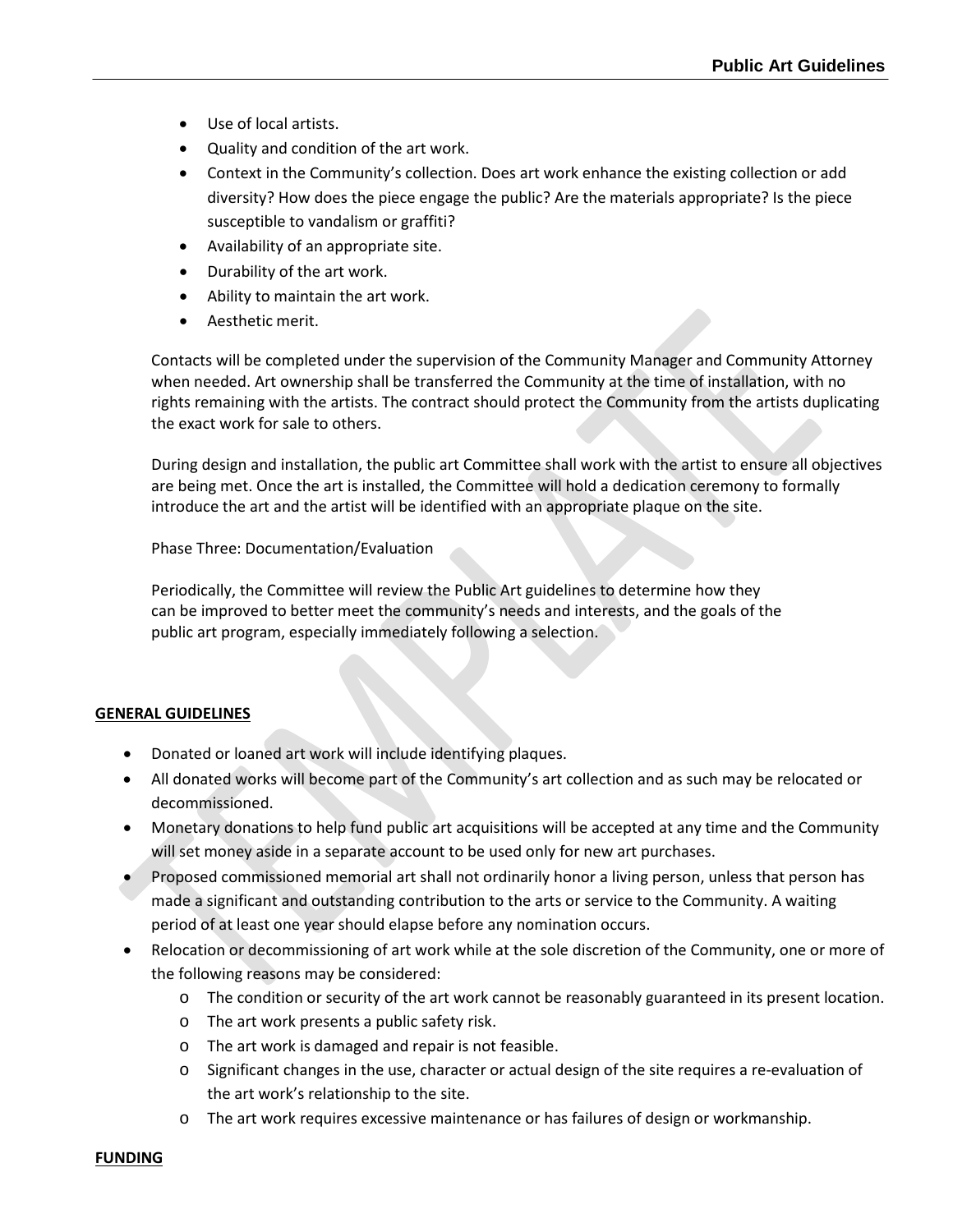- Use of local artists.
- Quality and condition of the art work.
- Context in the Community's collection. Does art work enhance the existing collection or add diversity? How does the piece engage the public? Are the materials appropriate? Is the piece susceptible to vandalism or graffiti?
- Availability of an appropriate site.
- Durability of the art work.
- Ability to maintain the art work.
- Aesthetic merit.

Contacts will be completed under the supervision of the Community Manager and Community Attorney when needed. Art ownership shall be transferred the Community at the time of installation, with no rights remaining with the artists. The contract should protect the Community from the artists duplicating the exact work for sale to others.

During design and installation, the public art Committee shall work with the artist to ensure all objectives are being met. Once the art is installed, the Committee will hold a dedication ceremony to formally introduce the art and the artist will be identified with an appropriate plaque on the site.

Phase Three: Documentation/Evaluation

Periodically, the Committee will review the Public Art guidelines to determine how they can be improved to better meet the community's needs and interests, and the goals of the public art program, especially immediately following a selection.

#### **GENERAL GUIDELINES**

- Donated or loaned art work will include identifying plaques.
- All donated works will become part of the Community's art collection and as such may be relocated or decommissioned.
- Monetary donations to help fund public art acquisitions will be accepted at any time and the Community will set money aside in a separate account to be used only for new art purchases.
- Proposed commissioned memorial art shall not ordinarily honor a living person, unless that person has made a significant and outstanding contribution to the arts or service to the Community. A waiting period of at least one year should elapse before any nomination occurs.
- Relocation or decommissioning of art work while at the sole discretion of the Community, one or more of the following reasons may be considered:
	- o The condition or security of the art work cannot be reasonably guaranteed in its present location.
	- o The art work presents a public safety risk.
	- o The art work is damaged and repair is not feasible.
	- o Significant changes in the use, character or actual design of the site requires a re-evaluation of the art work's relationship to the site.
	- o The art work requires excessive maintenance or has failures of design or workmanship.

#### **FUNDING**